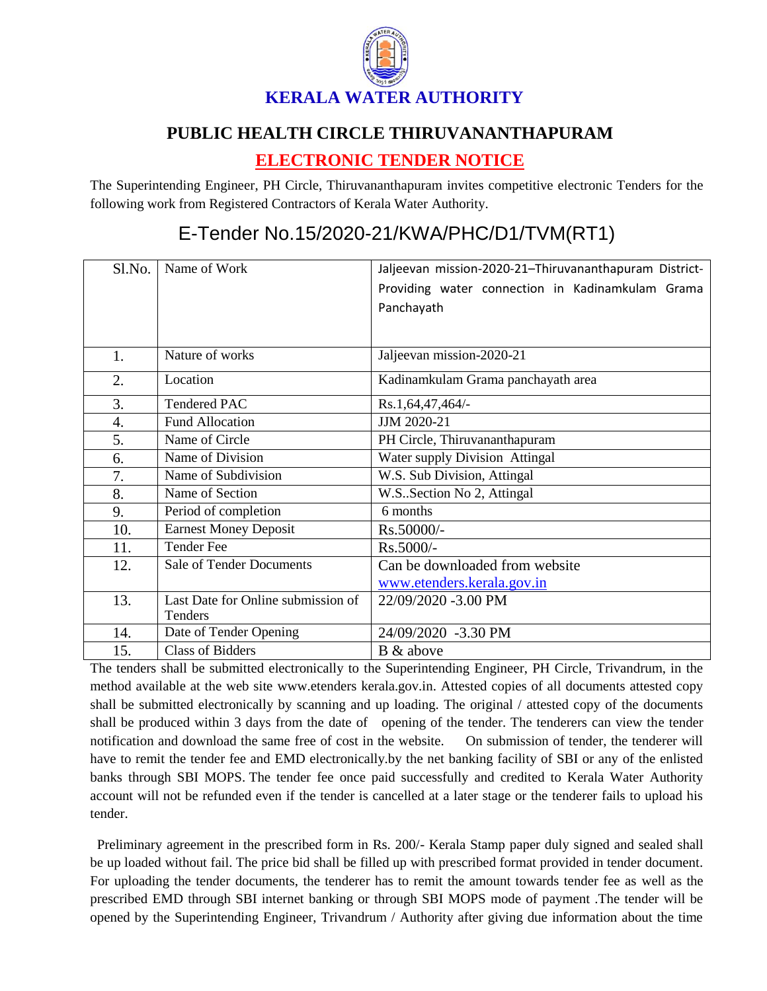

# **PUBLIC HEALTH CIRCLE THIRUVANANTHAPURAM**

## **ELECTRONIC TENDER NOTICE**

The Superintending Engineer, PH Circle, Thiruvananthapuram invites competitive electronic Tenders for the following work from Registered Contractors of Kerala Water Authority.

### Sl.No. Name of Work Jaljeevan mission-2020-21–Thiruvananthapuram District-Providing water connection in Kadinamkulam Grama Panchayath 1. Nature of works Jaljeevan mission-2020-21 2. Location Kadinamkulam Grama panchayath area 3. Tendered PAC Rs.1,64,47,464/-4 | Fund Allocation | JJM 2020-21 5. Name of Circle PH Circle, Thiruvananthapuram 6. Name of Division Water supply Division Attingal 7. Name of Subdivision W.S. Sub Division, Attingal 8. Name of Section W.S..Section No 2, Attingal 9. Period of completion 6 months 10. Earnest Money Deposit Rs.50000/-11.  $\vert$  Tender Fee  $\vert$  Rs.5000/-12. Sale of Tender Documents Can be downloaded from website [www.etenders.kerala.gov.in](file:///C:\Users\SUBHADRA\KWA\Downloads\www.etenders.kerala.gov.in) 13. Last Date for Online submission of **Tenders** 22/09/2020 -3.00 PM 14. Date of Tender Opening 24/09/2020 -3.30 PM 15.  $\vert$  Class of Bidders  $\vert$  B & above

# E-Tender No.15/2020-21/KWA/PHC/D1/TVM(RT1)

The tenders shall be submitted electronically to the Superintending Engineer, PH Circle, Trivandrum, in the method available at the web site www.etenders kerala.gov.in. Attested copies of all documents attested copy shall be submitted electronically by scanning and up loading. The original / attested copy of the documents shall be produced within 3 days from the date of opening of the tender. The tenderers can view the tender notification and download the same free of cost in the website. On submission of tender, the tenderer will have to remit the tender fee and EMD electronically.by the net banking facility of SBI or any of the enlisted banks through SBI MOPS. The tender fee once paid successfully and credited to Kerala Water Authority account will not be refunded even if the tender is cancelled at a later stage or the tenderer fails to upload his tender.

 Preliminary agreement in the prescribed form in Rs. 200/- Kerala Stamp paper duly signed and sealed shall be up loaded without fail. The price bid shall be filled up with prescribed format provided in tender document. For uploading the tender documents, the tenderer has to remit the amount towards tender fee as well as the prescribed EMD through SBI internet banking or through SBI MOPS mode of payment .The tender will be opened by the Superintending Engineer, Trivandrum / Authority after giving due information about the time